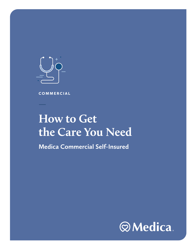

**COMMERCIAL** 

# **How to Get the Care You Need**

**Medica Commercial Self-Insured**

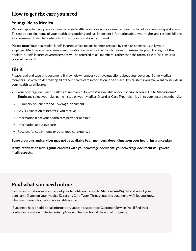## How to get the care you need

#### **Your guide to Medica**

We are happy to have you as a member. Your health care coverage is a valuable resource to help you receive quality care. This guide explains some of your health care options and has important information about your rights and responsibilities as a consumer. It also tells where to find more information if you need it.

**Please note**: Your health plan is self-insured, which means benefits are paid by the plan sponsor, usually your employer. Medica provides claims administration services for the plan, but does not insure the plan. Throughout this booklet, all self-insured covered persons will be referred to as "members" rather than the formal title of "self-insured covered persons."

#### **File it**

Please read and save this document. It may help whenever you have questions about your coverage. Some Medica members use a file folder to keep all of their health care information in one place. Typical items you may want to include in your health care file are:

- Your coverage document, called a "Summary of Benefits," is available on your secure account. Go to **Medica.com/** SignIn and select your plan name (listed on your Medica ID card as Care Type), then log in to your secure member site.
- "Summary of Benefits and Coverage" document
- Any "Explanation of Benefits" you receive
- Information from your health care provider or clinic
- Information about eye care
- Receipts for copayments or other medical expenses

Some programs and services may not be available to all members, depending upon your health insurance plan.

If any information in this guide conflicts with your coverage document, your coverage document will govern in all respects.

# Find what you need online

Get the information you need about your benefits online. Go to **Medica.com/SignIn** and select your plan name (listed on your Medica ID card as Care Type). Throughout this document, we'll let you know whenever more information is available online.

If you need help or additional information, you can also contact Customer Service. You'll find their contact information in the *Important phone numbers* section at the end of this guide.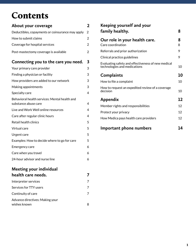# Contents

| About your coverage                                                   | $\overline{\mathbf{2}}$ |  |
|-----------------------------------------------------------------------|-------------------------|--|
| Deductibles, copayments or coinsurance may apply                      |                         |  |
| How to submit claims                                                  |                         |  |
| Coverage for hospital services                                        |                         |  |
| Post-mastectomy coverage is available                                 | 2                       |  |
| Connecting you to the care you need.                                  | 3                       |  |
| Your primary care provider                                            | 3                       |  |
| Finding a physician or facility                                       |                         |  |
| How providers are added to our network                                |                         |  |
| Making appointments                                                   |                         |  |
| Specialty care                                                        | 4                       |  |
| Behavioral health services: Mental health and<br>substance abuse care | 4                       |  |
| Live and Work Well online resources                                   | 4                       |  |
| Care after regular clinic hours                                       |                         |  |
| Retail health clinics                                                 |                         |  |
| Virtual care                                                          |                         |  |
| Urgent care                                                           |                         |  |
| Examples: How to decide where to go for care                          |                         |  |
| Emergency care                                                        | 6                       |  |
| Care when you travel                                                  | 6                       |  |
| 24-hour advisor and nurse line                                        | 6                       |  |
| Meeting your individual<br>health care needs                          | 7                       |  |

| ncaren care nccus.                              |   |
|-------------------------------------------------|---|
| Interpreter services                            | 7 |
| Services for TTY users                          | 7 |
| Continuity of care                              | 7 |
| Advance directives: Making your<br>wishes known | ጸ |

| Keeping yourself and your                                                          |        |
|------------------------------------------------------------------------------------|--------|
| family healthy.                                                                    | 8      |
| Our role in your health care.<br>Care coordination                                 | 8<br>8 |
| Referrals and prior authorization                                                  |        |
| Clinical practice guidelines                                                       |        |
| Evaluating safety and effectiveness of new medical<br>technologies and medications | 10     |
| Complaints                                                                         | 10     |
| How to file a complaint                                                            | 10     |
| How to request an expedited review of a coverage<br>decision                       |        |
| Appendix                                                                           | 12     |
| Member rights and responsibilities                                                 | 12     |
| Protect your privacy                                                               | 12     |
| How Medica pays health care providers                                              | 12     |
| <b>Important phone numbers</b>                                                     | 14     |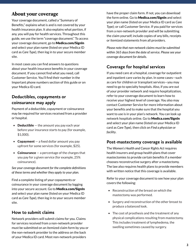## About your coverage

Your coverage document, called a "Summary of Benefits," explains what is and is not covered by your health insurance plan. It also explains what portion, if any, you will pay for health services. Throughout this guide, we use the term "coverage document." To access your coverage document, go to Medica.com/SignIn and select your plan name (listed on your Medica ID card as *Care Type*), then log in to your secure member site.

In most cases you can find answers to questions about your health insurance benefits in your coverage document. If you cannot find what you need, call Customer Service. You'll find their number in the Important phone numbers section of this guide or on your Medica ID card.

## **Deductibles, copayments or coinsurance may apply**

Payment of a deductible, copayment or coinsurance may be required for services received from a provider or hospital.

- Deductible  $-$  the amount you pay each year before your insurance starts to pay (for example, \$1,000).
- Copayment  $-$  a fixed dollar amount you pay upfront for some services (for example, \$25).
- Coinsurance  $-$  a percentage of the charges that you pay for a given service (for example, 25% coinsurance).

*See your coverage document for the complete definitions of these terms and whether they apply to your plan.*

Find a complete listing of your copayments or coinsurance in your coverage document by logging into your secure account. Go to **Medica.com/SignIn** and select your plan name (listed on your Medica ID card as *Care Type*), then log in to your secure member site.

## **How to submit claims**

Network providers will submit claims for you. Claims for services received from a non-network provider must be submitted on an itemized claim form by you or the non-network provider to the address on the back of your Medica ID card. Most non-network providers

have the proper claim form. If not, you can download the form online. Go to **Medica.com/SignIn** and select your plan name (listed on your Medica ID card as *Care Type*); or call Customer Service. If you paid for services from a non-network provider and will be submitting the claim yourself, include copies of any bills, receipts or itemized statements from all providers.

*Please note that non-network claims must be submitted within 365 days from the date of service. Please see your coverage document for details.*

## **Coverage for hospital services**

If you need care at a hospital, coverage for outpatient and inpatient care varies by plan. In some cases—such as care for children or transplant services—you may need to go to specialty hospitals. Also, if you are out of your provider network and require hospitalization, refer to your coverage document to learn how to receive your highest level of coverage. You also may contact Customer Service for more information about your benefits and to make sure that the hospital you want to use is in your plan's network. You can look up network hospitals online. Go to Medica.com/SignIn and select your plan name (listed on your Medica ID card as *Care Type*), then click on *Find a physician or facility*.

#### **Post-mastectomy coverage is available**

The *Women's Health and Cancer Rights Act* requires health insurers and group health plans that cover mastectomies to provide certain benefits if a member chooses reconstructive surgery after a mastectomy. The law also requires health plans to provide members with written notice that this coverage is available.

Refer to your coverage document to see how your plan covers the following:

- Reconstruction of the breast on which the mastectomy was performed.
- Surgery and reconstruction of the other breast to produce a balanced look.
- The cost of prosthesis and the treatment of any physical complications resulting from mastectomy. This includes treatment of lymphedema, the swelling sometimes caused by surgery.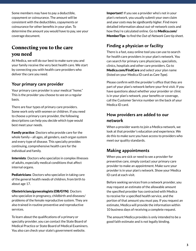Some members may have to pay a deductible, copayment or coinsurance. The amount will be consistent with the deductibles, copayments or coinsurance for other benefits in your plan. To determine the amount you would have to pay, see your coverage document.

# Connecting you to the care you need

At Medica, we will do our best to make sure you and your family receive the very best health care. We start by connecting you with health care providers who deliver the care you need.

#### **Your primary care provider**

Your primary care provider is your medical "home." This is the provider you choose to see on a regular basis.

There are four types of primary care providers. Some work only with women or children. If you need to choose a primary care provider, the following descriptions can help you decide which type would best meet your needs.

**Family practice:** Doctors who provide care for the whole family—all ages, all genders, each organ system and every type of disease. This specialty provides continuing, comprehensive health care for the individual and family.

**Internists:** Doctors who specialize in complex illnesses of adults, especially medical conditions that affect internal organs.

Pediatricians: Doctors who specialize in taking care of the general health needs of children, from birth to about age 17.

Obstetricians/gynecologists (OB/GYN): Doctors who specialize in pregnancy, childbirth and diseases/ problems of the female reproductive system. They are also trained in routine preventive and reproductive services.

To learn about the qualifications of a primary or specialty provider, you can contact the State Board of Medical Practice or State Board of Medical Examiners. You also can check your state's government website.

**Important!** If you see a provider who's not in your plan's network, you usually submit your own claim and *your costs may be significantly higher*. Find more detailed information about out-of-network costs and how they're calculated online. Go to Medica.com/ MemberTips to find the *Out-of-Network Care* tip sheet.

## **Finding a physician or facility**

There is a fast, easy online tool you can use to search for health care providers in your plan's network. You can search for primary care physicians, specialists, clinics, hospitals and other care providers. Go to Medica.com/FindCare and select your plan name (listed on your Medica ID card as *Care Type).*

Please confirm with the provider's office that they are part of your plan's network before your first visit. If you have questions about whether your provider or clinic is in your plan's network, your benefits or coverage, call the Customer Service number on the back of your Medica ID card.

#### **How providers are added to our network**

When a provider wants to join a Medica network, we look at that provider's education and experience. We do this to make sure you have access to providers who meet our quality standards.

#### **Making appointments**

When you are sick or need to see a provider for preventive care, simply contact your primary care provider to make an appointment. Make sure your provider is in your plan's network. Show your Medica ID card at each visit.

Before seeking services from a network provider, you may request an estimate of the allowable amount the specified provider has contracted with Medica to receive for a specified health service, and the portion of that amount you must pay. If you request an estimate, Medica will provide the information within 10 business days of receiving a complete request.

The amount Medica provides is only intended to be a good faith estimate and is not legally binding.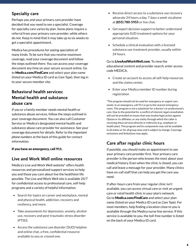## **Specialty care**

Perhaps you and your primary care provider have decided that you need to see a specialist. Coverage for specialty care varies by plan. Some plans require a referral from your primary care provider, while others do not. Keep in mind that it may take up to six weeks to get a specialist appointment.

Medica has procedures for seeing specialists of many kinds. To be sure that you receive maximum coverage, read your coverage document and follow the steps outlined there. You can access your coverage document any time on your secure account online. Go to **Medica.com/FindCare** and select your plan name (listed on your Medica ID card as *Care Type*), then log in to your secure member site.

## **Behavioral health services: Mental health and substance abuse care**

If you or a family member needs mental health or substance abuse services, follow the steps outlined in your coverage document. You can also call Customer Service or Medica's designated mental health and substance abuse care provider for assistance. See your coverage document for details. Refer to the *Important phone numbers* at the back of this guide for contact information.

If you have an emergency, call 911.

## **Live and Work Well online resources**

Medica's Live and Work Well website\* offers health resources and personalized support services to help you and those you care about live the healthiest life possible. The Live and Work Well site is available 24/7 for confidential access to professional care, self-help programs and a variety of helpful information.

- Search for topics on career and workplace, mental and physical health, addiction, recovery and resiliency, and more.
- Take assessments for depression, anxiety, alcohol use, recovery and post-traumatic stress disorder (PTSD).
- Access the substance use disorder (SUD) helpline and online chat, a free, confidential resource available to you or a loved one.
- Receive direct access to a substance use recovery advocate 24 hours a day, 7 days a week via phone at (855) 780-5955 or live chat.
- Get expert decision support to better understand appropriate SUD treatment options for your personal situation.
- Schedule a clinical evaluation with a licensed substance use treatment provider, usually within 24 hours.

Go to LiveAndWorkWell.com. To view the educational content and provider search, enter access code MEDICA.

- Create an account to access all self-help resources and the claims center.
- Enter your Medica member ID number during registration

\*This program should not be used for emergency or urgent care needs. In an emergency, call 911 or go to the nearest emergency room. This program is not a substitute for a doctor's or professional's care. Due to the potential for a conflict of interest, legal consultation will not be provided on issues that may involve legal action against Optum or its affiliates, or any entity through which the caller is receiving these services directly or indirectly (e.g., employer or health plan). This program and its components may not be available in all states or for all group sizes and is subject to change. Coverage exclusions and limitations may apply.

## **Care after regular clinic hours**

If possible, you should make an appointment to see your primary care provider first. Your primary care provider is the person who knows the most about your medical history. Even when the clinic is closed, you can call and leave a message for your provider. Many clinics have on-call staff that can help you get the care you need.

If after-hours care from your regular clinic isn't available, you can access virtual care or visit an urgent care or retail health clinic in your plan's network. Go to Medica.com/FindCare and select your plan name (listed on your Medica ID card as *Care Type*). For most members, help finding a location close to you is available through the Medica nurse line service. If this service is available to you, the toll-free number is listed on the back of your Medica ID card.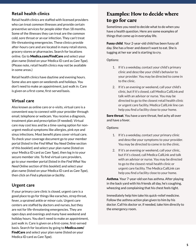#### **Retail health clinics**

Retail health clinics are staffed with licensed providers who can treat common illnesses and provide certain preventive services for people older than 18 months. Some of the illnesses they can treat are the common cold, sore throat or an ear infection. They can't treat life-threatening emergencies. These clinics provide after-hours care and are located in many retail stores, grocery stores or pharmacies. Search for locations online. Go to Medica.com/FindCare and select your plan name (listed on your Medica ID card as *Care Type*). (Please note, retail health clinics may not be available in some areas.)

Retail health clinics have daytime and evening hours. Some also are open on weekends and holidays. You don't need to make an appointment, just walk in. Care is given on a first-come, first-served basis.

#### **Virtual care**

Also known as online care or e-visits, virtual care is a convenient way to connect with your provider through email, telephone or webcam. You receive a diagnosis, treatment plan and prescription (if needed). Virtual care may cost less and be a time-saving option for nonurgent medical symptoms like allergies, pink eye and sinus infections. Most benefit plans cover virtual care. To check your coverage document go to your member portal (listed in the *Find What You Need Online* section of this booklet) and select your plan name (listed on your Medica ID card as *Care Type*), then log in to your secure member site. To find virtual care providers, go to your member portal (listed in the *Find What You Need Online* section of this booklet) and select your plan name (listed on your Medica ID card as *Care Type*), then click on *Find a physician or facility*.

#### **Urgent care**

If your primary care clinic is closed, urgent care is a good place to go for things like earaches, strep throat, fever, a sprained ankle or minor cuts. Urgent care centers are staffed by doctors and nurses, but they are not for life-threatening emergencies. They are open days and evenings and many have weekend and holiday hours. You don't need to make an appointment, just walk in. Care is given on a first-come, first-served basis. Search for locations by going to Medica.com/ FindCare and select your plan name (listed on your Medica ID card as *Care Type*).

# Examples: How to decide where to go for care

Sometimes you need to decide what to do when you have a health question. Here are some examples of things that come up in everyday life.

**Fussy child**. Your 2-year-old child has been fussy all day. She has a fever and doesn't want to eat. She is tugging at her ear and is starting to cry.

#### Options:

- 1. If it's a weekday, contact your child's primary clinic and describe your child's behavior to your provider. You may be directed to come in to the clinic.
- 2. If it's an evening or weekend, call your child's clinic, but if it's closed, call Medica CallLinkand talk with an advisor or nurse. You may be directed to go to the closest retail health clinic or urgent care facility. Medica CallLink line can help you find a facility close to your home.

Sore throat. You have a sore throat, feel achy all over and have a fever.

#### Options:

- 1. If it's a weekday, contact your primary clinic and describe your symptoms to your provider. You may be directed to come in to the clinic.
- 2. If it's an evening or weekend, call your clinic, but if it's closed, call Medica CallLink and talk with an advisor or nurse. You may be directed to go to the closest retail health clinic or urgent care facility. The Medica CallLink can help you find a facility close to your home.

Asthma. Your 7-year-old son has asthma. After playing in the back yard with his friends all day, he's coughing, wheezing and complaining that his chest feels tight.

Immediately help him take his quick-relief medicine. Follow the asthma action plan given to him by his doctor. Call his doctor or, if needed, take him directly to the emergency room.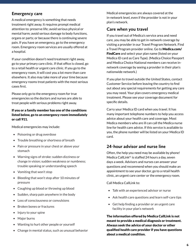#### **Emergency care**

A medical emergency is something that needs treatment right away. It requires prompt medical attention to: preserve life; avoid serious physical or mental harm; avoid serious damage to body functions, organs or parts; or because there is continuing severe pain. If you have an emergency, go to the emergency room. Emergency room services are usually offered at a hospital.

If your condition doesn't need treatment right away, go to your primary care clinic. If that office is closed, go to a retail health or urgent care clinic. If you go to the emergency room, it will cost you a lot more than care elsewhere. It also may take more of your time because emergency rooms treat patients with the most serious cases first.

Please only go to the emergency room for true emergencies so the doctors and nurses are able to treat people with serious problems right away.

#### If you or a family member has one of the conditions listed below, go to an emergency room immediately or call 911.

Medical emergencies may include:

- Poisoning or drug overdose
- Trouble breathing or shortness of breath
- Pain or pressure in your chest or above your stomach
- Warning signs of stroke: sudden dizziness or change in vision; sudden weakness or numbness; trouble speaking or understanding speech
- Vomiting that won't stop
- Bleeding that won't stop after 10 minutes of pressure
- Coughing up blood or throwing up blood
- Sudden, sharp pain anywhere in the body
- Loss of consciousness or convulsions
- Broken bones or fractures
- Injury to your spine
- Major burns
- Wanting to hurt other people or yourself
- Change in mental status, such as unusual behavior

Medical emergencies are always covered at the in-network level, even if the provider is not in your plan's network.

#### **Care when you travel**

If you travel out of Medica's service area and need care, you may be able to get in-network coverage by visiting a provider in our Travel Program Network. Find a Travel Program provider online. Go to **Medica.com/** FindCare and select your plan name (listed on your Medica ID card as Care Type)*.* (Medica Choice Passport and Medica Choice National members can receive innetwork coverage by seeing a provider in their plan's nationwide network.)

If you plan to travel outside the United States, contact Customer Service before leaving the country to find out about any special requirements for getting any care you may need. Your plan covers emergency medical treatment. Please see your coverage document for specific details.

Carry your Medica ID card when you travel. It has many important telephone numbers to help you access advice about your health care and coverage. Most Medica members who are ill can call the Medica nurse line for health care advice. If this service is available to you, the phone number will be listed on your Medica ID card.

#### **24-hour advisor and nurse line**

Often, the help you need may be available by phone! Medica CallLink® is staffed 24 hours a day, seven days a week. Advisors and nurses can answer your questions and recommend when you should make an appointment to see your doctor, go to a retail health clinic, an urgent care center or the emergency room.

Call Medica CallLink to:

- Talk with an experienced advisor or nurse
- Ask health care questions and learn self-care tips
- Get help finding a provider or an urgent care facility in your plan's network

The information offered by Medica CallLink is not meant to provide a medical diagnosis or treatment. Always seek the advice of your doctor or other qualified health care provider if you have questions about a medical condition.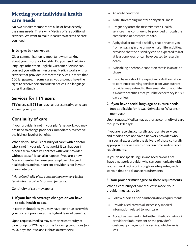# Meeting your individual health care needs

No two Medica members are alike or have exactly the same needs. That's why Medica offers additional services. We want to make it easier to access the care you need.

#### **Interpreter services**

Clear communication is important when talking about your insurance benefits. Do you need help in a language other than English? Customer Service can connect you with an interpreter. Medica works with a service that provides interpreter services in more than 150 languages. In some cases, you also may have the right to receive certain written notices in a language other than English.

## **Services for TTY users**

TTY users, call 711 to reach a representative who can answer your questions.

## **Continuity of care**

If your provider is not in your plan's network, you may not need to change providers immediately to receive the highest level of benefits.

When do you have "continuity of care" with a doctor who is not in your plan's network? It can happen if Medica terminates its contract with your provider without cause.\* It can also happen if you are a new Medica member because your employer changed health plans and your current provider is not in your plan's network.

*\* Note: Continuity of care does not apply when Medica terminates a provider's contract for cause.*

Continuity of care may apply:

#### **1. If your health coverage changes or you have special health needs.**

In certain situations, you may have continue care with your current provider at the highest level of benefits.

Upon request, Medica may authorize continuity of care for up to 120 days for the following conditions (up to 90 days for Iowa and Nebraska members):

- An acute condition
- A life-threatening mental or physical illness
- Pregnancy after the first trimester. Health services may continue to be provided through the completion of postpartum care.
- A physical or mental disability that prevents you from engaging in one or more major life activities, provided that the disability can be expected to last at least one year, or can be expected to result in death
- A disabling or chronic condition that is in an acute phase
- If you have a short life expectancy. Authorization to continue receiving services from your current provider may extend to the remainder of your life if a doctor certifies that your life expectancy is 180 days or less.
- **2. If you have special language or culture needs.** (not applicable for Iowa, Nebraska or Wisconsin members)

Upon request, Medica may authorize continuity of care for up to 120 days:

If you are receiving culturally appropriate services and Medica does not have a network provider who has special expertise in the delivery of those culturally appropriate services within certain time and distance requirements.

If you do not speak English and Medica does not have a network provider who can communicate with you, either directly or through an interpreter, within certain time and distance requirements

#### **3. Your provider must agree to these requirements.**

When a continuity of care request is made, your provider must agree to:

- Follow Medica's prior authorization requirements.
- Provide Medica with all necessary medical information related to your care.
- Accept as payment in full either Medica's network provider reimbursement or the provider's customary charge for this service, whichever is less.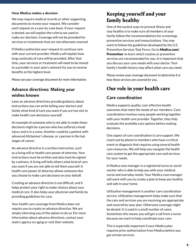#### **How Medica makes a decision**

We may require medical records or other supporting documents to review your request. We consider each request on a case-by-case basis. If your request is denied, we will explain the criteria we used to make our decision. Coverage will not be provided for services or treatments that are not otherwise covered.

If Medica authorizes your request to continue care with your current provider, Medica will explain how long continuity of care will be provided. After that time, your services or treatment will need to be moved to a provider in your plan's network for you to receive benefits at the highest level.

*Please see your coverage document for more information.*

#### **Advance directives: Making your wishes known**

Laws on advance directives provide guidance about instructions you can write telling your doctors and family what kind of care you want if you are too sick to make health care decisions yourself.

An example of someone who is not able to make these decisions might be a person who has suffered a head injury and is in a coma. Another could be a patient with advanced Alzheimer's disease, or a person in the last stages of cancer.

An advance directive is a written instruction, such as a living will or health care power of attorney. Your instructions must be written and also must be signed by a witness. A living will tells others what kind of care you want if you are not able to tell them yourself. A health care power of attorney allows someone else you choose to make care decisions on your behalf.

Creating an advance directive is not difficult, and it helps protect your right to make choices about your medical care. It also helps your physician and family by providing guidelines for care.

Your health care coverage from Medica does not require you to create an advance directive. We are simply informing you of the option to do so. For more information about advance directives, contact your state's agency on aging or visit their website.

# Keeping yourself and your family healthy

One of the easiest ways to prevent illness and stay healthy is to make sure all members of your family follow the recommendations for screenings, preventive services and immunizations. You may want to follow the guidelines developed by the U.S. Preventive Services Task Force. Go to Medica.com/ **Prevention** to learn which routine or preventive services are recommended for you. It is important that you discuss your care needs with your doctor. Your family's health history may affect what care you need.

*Please review your coverage document to determine if or how these services are covered for you.*

# Our role in your health care

## **Care coordination**

Medica supports quality, cost-effective health outcomes that meet the needs of our members. Care coordination involves many people working together with your health care provider. Together, they help evaluate the available care options before making decisions.

One aspect of care coordination is care support. We reach out by phone to members who have a critical event or diagnosis that requires using several health care resources. We will help you navigate the health care system to get the appropriate care and services for your needs.

A Medica case manager is a registered nurse or social worker who is able to help you with your medical, social and everyday needs. Your Medica case manager will work with you to create a plan to keep you healthy and safe in your home.

Utilization management is another care coordination service. Utilization management helps make sure that the care and services you are receiving are appropriate and covered by your plan. Otherwise coverage might be denied. It is used in a small number of cases. Sometimes this means you will get a call from a nurse because we want to help coordinate your care.

This is especially important if your Medica plan requires prior authorization from Medica before you get certain services.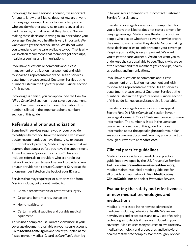If coverage for some service is denied, it is important for you to know that Medica does not reward anyone for denying coverage. The doctors or other people who decide whether a service or care is covered are paid the same, no matter what they decide. No one making these decisions is trying to limit or reduce your coverage. Keeping you healthy is very important. We want you to get the care you need. We do not want you to under-use the care available to you. That is why we so often recommend that members get checkups, health screenings and immunizations.

If you have questions or comments about case management or utilization management and wish to speak to a representative of the Health Services department, please contact Customer Service at the numbers listed in the *Important phone numbers* section of this guide.

If coverage is denied, you can appeal. See the *How Do I File a Complaint*? section in your coverage document, or call Customer Service for more information. The number is listed in the Important phone numbers section of this guide.

#### **Referrals and prior authorization**

Some health services require you or your provider to notify us before you have the service. Even if your doctor recommends you have the service or see an out-of-network provider, Medica may require that we approve the request before you have the appointment. This is known as "prior authorization." This also includes referrals to providers who are not in our network and certain types of network providers. You or your provider can contact Customer Service at the phone number listed on the back of your ID card.

Services that may require prior authorization from Medica include, but are not limited to:

- Certain reconstructive or restorative surgery
- Organ and bone marrow transplant
- Home health care
- Certain medical supplies and durable medical equipment

This is not a complete list. You can view more in your coverage document, available on your secure account. Go to Medica.com/SignIn and select your plan name (listed on your Medica ID card as *Care Type*), then log

in to your secure member site. Or contact Customer Service for assistance.

If we deny coverage for a service, it is important for you to know that Medica does not reward anyone for denying coverage. Medica pays the doctors or other people who decide whether to cover a service or care the same, no matter what they decide. No one making these decisions tries to limit or reduce your coverage. Keeping you healthy is very important. We want you to get the care you need. We do not want you to under-use the care available to you. That is why we so often recommend that members get checkups, health screenings and immunizations.

If you have questions or comments about case management or utilization management and wish to speak to a representative of the Health Services department, please contact Customer Service at the numbers listed in the *Important phone numbers* section of this guide. Language assistance also is available.

If we deny coverage for a service you can appeal. See the *How Do I File a Complaint*? section in your coverage document. Or call Customer Service for more information. The number is listed in the *Important phone numbers* section of this guide. For more information about the appeal rights under your plan, see your coverage document. You may also contact us through our website at Medica.com.

## **Clinical practice guidelines**

Medica follows evidence-based clinical practice guidelines developed by the U.S. Preventive Services Task Force (uspreventiveservicestaskforce.org). Medica maintains clinical practice guidelines for all providers in our network. Visit Medica.com/ ClinicalGuidelines and select *Preventive Services*.

## **Evaluating the safety and effectiveness of new medical technologies and medications**

Medica is interested in the newest advances in medicine, including behavioral health. We review new devices and procedures and new uses of existing technologies to decide if they are included in your coverage. Medica uses many sources to evaluate new medical technology and procedures and behavioral health treatments/therapies. We thoroughly review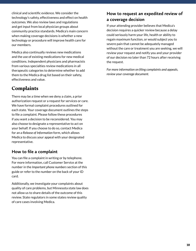clinical and scientific evidence. We consider the technology's safety, effectiveness and effect on health outcomes. We also review laws and regulations and get input from local physician groups about community practice standards. Medica's main concern when making coverage decisions is whether a new technology or procedure will improve health care for our members.

Medica also continually reviews new medications and the use of existing medications for new medical conditions. Independent physicians and pharmacists from various specialties review medications in all therapeutic categories to determine whether to add them to the Medica drug list based on their safety, effectiveness and value.

# Complaints

There may be a time when we deny a claim, a prior authorization request or a request for services or care. We have formal complaint procedures outlined for each state. Your coverage document outlines the steps to file a complaint. Please follow these procedures if you want a decision to be reconsidered. You may also choose to designate a representative to act on your behalf. If you choose to do so, contact Medica for an *a Release of Information* form, which allows Medica to discuss your appeal with your designated representative.

## **How to file a complaint**

You can file a complaint in writing or by telephone. For more information, call Customer Service at the number in the *Important phone numbers* section of this guide or refer to the number on the back of your ID card.

Additionally, we investigate your complaints about quality of care problems, but Minnesota state law does not allow us to share details of the outcome of this review. State regulators in some states review quality of care cases involving Medica.

## **How to request an expedited review of a coverage decision**

If your attending provider believes that Medica's decision requires a quicker review because a delay could seriously harm your life, health or ability to regain maximum function, or would subject you to severe pain that cannot be adequately managed without the care or treatment you are seeking, we will review your request and notify you and your provider of our decision no later than 72 hours after receiving the request.

*For more information on filing complaints and appeals, review your coverage document.*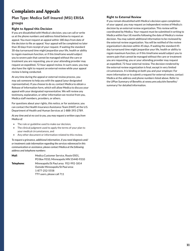## Complaints and Appeals

#### **Plan Type: Medica Self-Insured (MSI) ERISA groups**

#### **Right to Appeal this Decision**

If you are dissatisfied with Medica's decision, you can call or write us at the phone numbers and address listed below to request an appeal. You must request an appeal within 180 days from date of the decision to file an appeal. Your appeal will be completed no later than 30 days from receipt of your request. If waiting the standard 30-day turnaround time might jeopardize your life, health or ability to regain maximum function, or if this timeframe would subject you to severe pain that cannot be managed without the care or treatment you are requesting, you or your attending provider may request an expedited, 72-hour appeal review. In such cases, you may also have the right to request an external review while your appeal review is being conducted.

At any time during the appeal or external review process, you may ask someone to help you with the appeal (your designated representative). If you choose to do so, contact Medica to obtain a Release of Information form, which will allow Medica to discuss your appeal with your designated representative. We will review any testimony, explanation, or other information we receive from you, Medica staff members, providers, or others.

For questions about your rights, this notice, or for assistance, you can contact the Health Insurance Assistance Team (HIAT) at the U.S. Department of Health and Human Services at 1-888-393-2789.

*At any time and at no cost to you, you may request a written copy from Medica of:*

- The rule or guideline used to make our decision,
- The clinical judgment used to apply the terms of your plan to your medical circumstances, and
- Any other document or information related to this review.

*To request a grievance, additional information, if you need diagnosis and/ or treatment code information regarding the services referenced in this communication or assistance, please contact Medica at the following address and telephone numbers:*

| Mail:      | Medica Customer Service, Route 0501,<br>PO Box 9310, Minneapolis MN 55440-9310 |
|------------|--------------------------------------------------------------------------------|
| Telephone: | Minneapolis/St Paul area: 952-992-1814<br>Outside Minneapolis/St Paul area:    |
|            | 1-877-252-5558                                                                 |
|            | TTY users, please call 711                                                     |

#### **Right to External Review**

If you remain dissatisfied with Medica's decision upon completion of your appeal, you may request an independent review of Medica's decision by an external review organization. This review will be coordinated by Medica. Your request must be submitted in writing to Medica within four (4) months following the date of Medica's review decision. You may submit additional information to be reviewed by the external review organization. You will be notified of the review organization's decision within 45 days. If waiting the standard 45 day turnaround time might jeopardize your life, health or ability to regain maximum function, or if this timeframe would subject you to severe pain that cannot be managed without the care or treatment you are requesting, you or your attending provider may request an expedited, 72-hour external review. The decision rendered by the external review organization is final, except in very limited circumstances. It is binding on both you and your employer. For more information or to submit a request for external review, contact Medica at the address and phone numbers listed above. Refer to the UPlan Summary of Benefits at www.umn.edu/ohr/benefits/ summary/ for detailed information.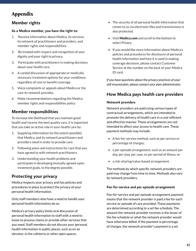# Appendix

## **Member rights**

#### **As a Medica member, you have the right to:**

- 1. Receive information about Medica, its services, its network of practitioners and providers, and member rights and responsibilities.
- 2. Be treated with respect and recognition of your dignity and your right to privacy.
- 3. Participate with practitioners in making decisions about your health care.
- 4. A candid discussion of appropriate or medically necessary treatment options for your conditions, regardless of cost or benefit coverage.
- 5. Voice complaints or appeals about Medica or the care its network provides.
- 6. Make recommendations regarding the Medica member rights and responsibilities policy

#### **Member responsibilities**

To increase the likelihood that you maintain good health and receive the best quality care, it is important that you take an active role in your health care by:

- 1. Supplying information (to the extent possible) that Medica, and its network practitioners and providers need in order to provide care.
- 2. Following plans and instructions for care that you have agreed to with network practitioners.
- 3. Understanding your health problems and participate in developing mutually agreed-upon treatment goals, to the degree possible.

## **Protecting your privacy**

Medica respects your privacy and has policies and procedures in place to protect the privacy of your personal health information.

Only staff members who have a need to handle your personal health information do so.

Medica's privacy policy limits oral discussion of personal health information to staff with a need to know to process claims or provide other services that you need. Staff members do not discuss your personal health information in public places, such as on an elevator, in the cafeteria or other open spaces.

- The security of all personal health information that comes to us via electronic files and transmissions is also protected.
- Visit Medica.com and scroll to the bottom to select *Privacy.*
- If you would like more information about Medica's policies and procedures for disclosure of personal health information and how it is used in making coverage decisions, please contact Customer Service at the number on the back of your Medica ID card.

*If you have questions about the privacy practices of your self-insured plan, please contact your plan administrator.*

## **How Medica pays health care providers**

#### **Network providers**

Network providers are paid using various types of contractual arrangements, which are intended to promote the delivery of health care in a cost-efficient and effective manner. These arrangements are not intended to affect your access to health care. These payment methods may include:

- A fee-for-service method, such as per service or percentage of charges;
- a per episode arrangement, such as an amount per day, per stay, per case, or per period of illness; or
- a risk-sharing/value-based arrangement.

The methods by which specific network providers are paid may change from time to time. Methods also vary by network providers.

#### **Fee-for-service and per episode arrangement**

Fee-for-service and per episode arrangement payment means that the network provider is paid a fee for each service or episode of care provided. These payments are determined according to a set fee schedule. The amount the network provider receives is the lesser of the fee schedule or what the network provider would have otherwise billed. If the payment is percentage of charges, the network provider's payment is a set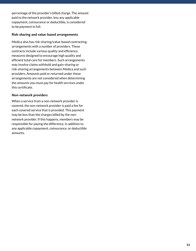percentage of the provider's billed charge. The amount paid to the network provider, less any applicable copayment, coinsurance or deductible, is considered to be payment in full.

#### **Risk-sharing and value-based arrangements**

Medica also has risk-sharing/value-based contracting arrangements with a number of providers. These contracts include various quality and efficiency measures designed to encourage high quality and efficient total care for members. Such arrangements may involve claims withhold and gain-sharing or risk-sharing arrangements between Medica and such providers. Amounts paid or returned under these arrangements are not considered when determining the amounts you must pay for health services under this certificate.

#### **Non-network providers**

When a service from a non-network provider is covered, the non-network provider is paid a fee for each covered service that is provided. This payment may be less than the charges billed by the nonnetwork provider. If this happens, members may be responsible for paying the difference, in addition to any applicable copayment, coinsurance, or deductible amounts.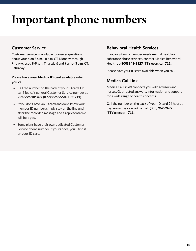# **Important phone numbers**

#### **Customer Service**

Customer Service is available to answer questions about your plan 7 a.m. - 8 p.m. CT, Monday through Friday (closed 8-9 a.m. Thursday) and 9 a.m. - 3 p.m. CT, Saturday.

#### **Please have your Medica ID card available when you call.**

- Call the number on the back of your ID card. Or call Medica's general Customer Service number at 952-992-1814 or (877) 252-5558 (TTY: 711).
- If you don't have an ID card and don't know your member ID number, simply stay on the line until after the recorded message and a representative will help you.
- Some plans have their own dedicated Customer Service phone number. If yours does, you'll find it on your ID card.

## **Behavioral Health Services**

If you or a family member needs mental health or substance abuse services, contact Medica Behavioral Health at (800) 848-8327 (TTY users call 711).

Please have your ID card available when you call.

## **Medica CallLink**

Medica CallLink® connects you with advisors and nurses. Get trusted answers, information and support for a wide range of health concerns.

Call the number on the back of your ID card 24 hours a day, seven days a week, or call (800) 962-9497 (TTY users call 711).